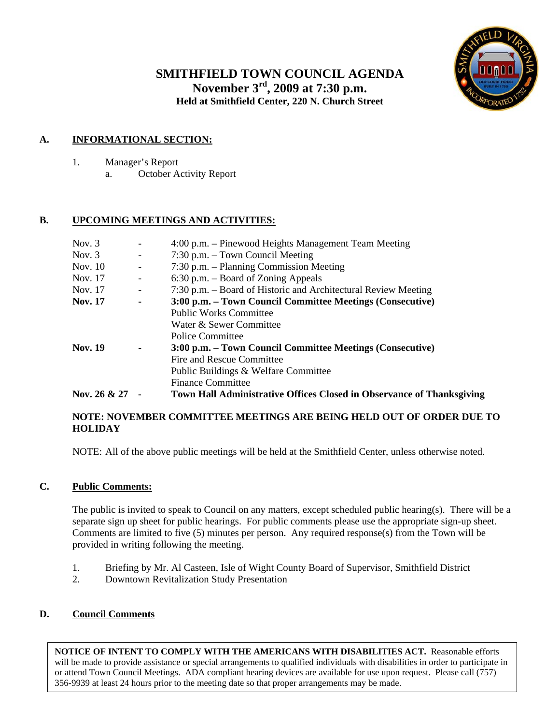# **SMITHFIELD TOWN COUNCIL AGENDA November 3rd, 2009 at 7:30 p.m. Held at Smithfield Center, 220 N. Church Street**



### **A. INFORMATIONAL SECTION:**

1. Manager's Report a. October Activity Report

### **B. UPCOMING MEETINGS AND ACTIVITIES:**

| Nov. $3$       |                          | 4:00 p.m. – Pinewood Heights Management Team Meeting                         |
|----------------|--------------------------|------------------------------------------------------------------------------|
| Nov. $3$       | $\overline{\phantom{a}}$ | 7:30 p.m. – Town Council Meeting                                             |
| Nov. 10        | $\overline{\phantom{a}}$ | 7:30 p.m. – Planning Commission Meeting                                      |
| Nov. 17        | $\overline{\phantom{a}}$ | $6:30$ p.m. – Board of Zoning Appeals                                        |
| Nov. 17        | $\overline{\phantom{a}}$ | 7:30 p.m. – Board of Historic and Architectural Review Meeting               |
| <b>Nov.</b> 17 | ۰                        | 3:00 p.m. – Town Council Committee Meetings (Consecutive)                    |
|                |                          | <b>Public Works Committee</b>                                                |
|                |                          | Water & Sewer Committee                                                      |
|                |                          | Police Committee                                                             |
| <b>Nov. 19</b> | $\blacksquare$           | 3:00 p.m. – Town Council Committee Meetings (Consecutive)                    |
|                |                          | Fire and Rescue Committee                                                    |
|                |                          | Public Buildings & Welfare Committee                                         |
|                |                          | <b>Finance Committee</b>                                                     |
| Nov. 26 & 27   |                          | <b>Town Hall Administrative Offices Closed in Observance of Thanksgiving</b> |

### **NOTE: NOVEMBER COMMITTEE MEETINGS ARE BEING HELD OUT OF ORDER DUE TO HOLIDAY**

NOTE: All of the above public meetings will be held at the Smithfield Center, unless otherwise noted.

### **C. Public Comments:**

The public is invited to speak to Council on any matters, except scheduled public hearing(s). There will be a separate sign up sheet for public hearings. For public comments please use the appropriate sign-up sheet. Comments are limited to five (5) minutes per person. Any required response(s) from the Town will be provided in writing following the meeting.

- 1. Briefing by Mr. Al Casteen, Isle of Wight County Board of Supervisor, Smithfield District
- 2. Downtown Revitalization Study Presentation

### **D. Council Comments**

 **NOTICE OF INTENT TO COMPLY WITH THE AMERICANS WITH DISABILITIES ACT.** Reasonable efforts will be made to provide assistance or special arrangements to qualified individuals with disabilities in order to participate in or attend Town Council Meetings. ADA compliant hearing devices are available for use upon request. Please call (757) 356-9939 at least 24 hours prior to the meeting date so that proper arrangements may be made.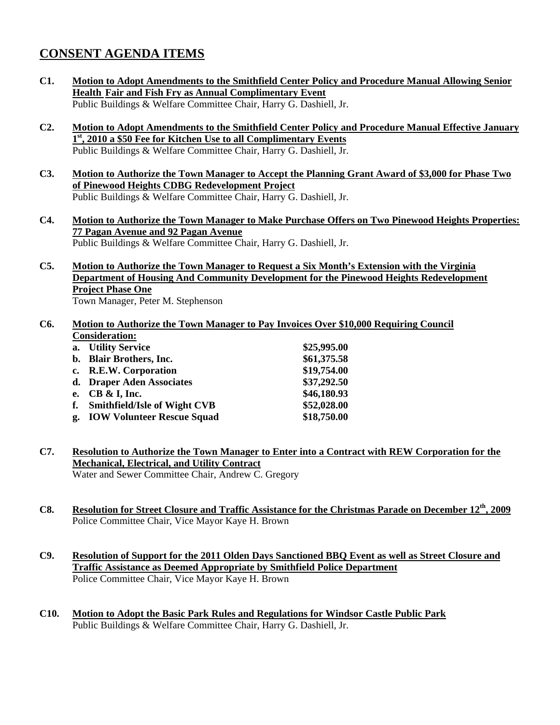## **CONSENT AGENDA ITEMS**

- **C1. Motion to Adopt Amendments to the Smithfield Center Policy and Procedure Manual Allowing Senior Health Fair and Fish Fry as Annual Complimentary Event** Public Buildings & Welfare Committee Chair, Harry G. Dashiell, Jr.
- **C2. Motion to Adopt Amendments to the Smithfield Center Policy and Procedure Manual Effective January 1st, 2010 a \$50 Fee for Kitchen Use to all Complimentary Events** Public Buildings & Welfare Committee Chair, Harry G. Dashiell, Jr.
- **C3. Motion to Authorize the Town Manager to Accept the Planning Grant Award of \$3,000 for Phase Two of Pinewood Heights CDBG Redevelopment Project** Public Buildings & Welfare Committee Chair, Harry G. Dashiell, Jr.
- **C4. Motion to Authorize the Town Manager to Make Purchase Offers on Two Pinewood Heights Properties: 77 Pagan Avenue and 92 Pagan Avenue** Public Buildings & Welfare Committee Chair, Harry G. Dashiell, Jr.
- **C5. Motion to Authorize the Town Manager to Request a Six Month's Extension with the Virginia Department of Housing And Community Development for the Pinewood Heights Redevelopment Project Phase One**

Town Manager, Peter M. Stephenson

#### **C6. Motion to Authorize the Town Manager to Pay Invoices Over \$10,000 Requiring Council Consideration:**

| \$25,995.00                                                                                                                                                                                       |
|---------------------------------------------------------------------------------------------------------------------------------------------------------------------------------------------------|
| \$61,375.58                                                                                                                                                                                       |
| \$19,754.00                                                                                                                                                                                       |
| \$37,292.50                                                                                                                                                                                       |
| \$46,180.93                                                                                                                                                                                       |
| \$52,028.00                                                                                                                                                                                       |
| \$18,750.00                                                                                                                                                                                       |
| a. Utility Service<br>b. Blair Brothers, Inc.<br>c. R.E.W. Corporation<br>d. Draper Aden Associates<br>e. $CB & I$ , Inc.<br><b>Smithfield/Isle of Wight CVB</b><br>g. IOW Volunteer Rescue Squad |

- **C7. Resolution to Authorize the Town Manager to Enter into a Contract with REW Corporation for the Mechanical, Electrical, and Utility Contract** Water and Sewer Committee Chair, Andrew C. Gregory
- **C8. Resolution for Street Closure and Traffic Assistance for the Christmas Parade on December 12th, 2009** Police Committee Chair, Vice Mayor Kaye H. Brown
- **C9. Resolution of Support for the 2011 Olden Days Sanctioned BBQ Event as well as Street Closure and Traffic Assistance as Deemed Appropriate by Smithfield Police Department** Police Committee Chair, Vice Mayor Kaye H. Brown
- **C10. Motion to Adopt the Basic Park Rules and Regulations for Windsor Castle Public Park** Public Buildings & Welfare Committee Chair, Harry G. Dashiell, Jr.